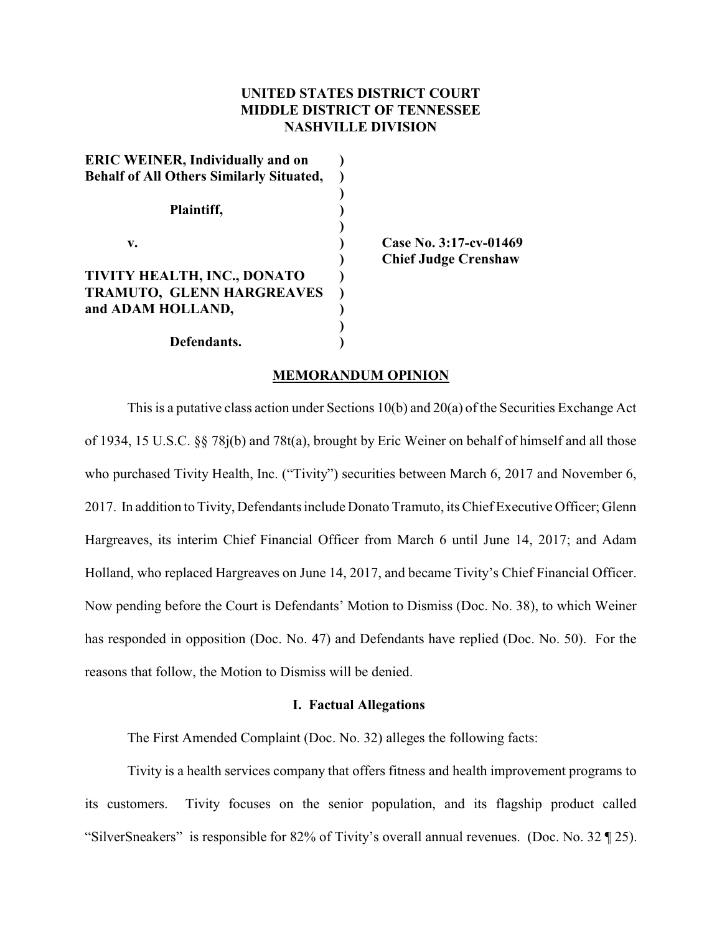# **UNITED STATES DISTRICT COURT MIDDLE DISTRICT OF TENNESSEE NASHVILLE DIVISION**

| <b>ERIC WEINER, Individually and on</b>         |  |
|-------------------------------------------------|--|
| <b>Behalf of All Others Similarly Situated,</b> |  |
|                                                 |  |
| Plaintiff,                                      |  |
|                                                 |  |
| v.                                              |  |
|                                                 |  |
| TIVITY HEALTH, INC., DONATO                     |  |
| TRAMUTO, GLENN HARGREAVES                       |  |
| and ADAM HOLLAND,                               |  |
|                                                 |  |
| Defendants.                                     |  |

**v. ) Case No. 3:17-cv-01469 ) Chief Judge Crenshaw**

# **MEMORANDUM OPINION**

This is a putative class action under Sections 10(b) and 20(a) of the Securities Exchange Act of 1934, 15 U.S.C. §§ 78j(b) and 78t(a), brought by Eric Weiner on behalf of himself and all those who purchased Tivity Health, Inc. ("Tivity") securities between March 6, 2017 and November 6, 2017. In addition to Tivity, Defendants include Donato Tramuto, its Chief Executive Officer; Glenn Hargreaves, its interim Chief Financial Officer from March 6 until June 14, 2017; and Adam Holland, who replaced Hargreaves on June 14, 2017, and became Tivity's Chief Financial Officer. Now pending before the Court is Defendants' Motion to Dismiss (Doc. No. 38), to which Weiner has responded in opposition (Doc. No. 47) and Defendants have replied (Doc. No. 50). For the reasons that follow, the Motion to Dismiss will be denied.

### **I. Factual Allegations**

The First Amended Complaint (Doc. No. 32) alleges the following facts:

Tivity is a health services company that offers fitness and health improvement programs to its customers. Tivity focuses on the senior population, and its flagship product called "SilverSneakers" is responsible for 82% of Tivity's overall annual revenues. (Doc. No. 32 ¶ 25).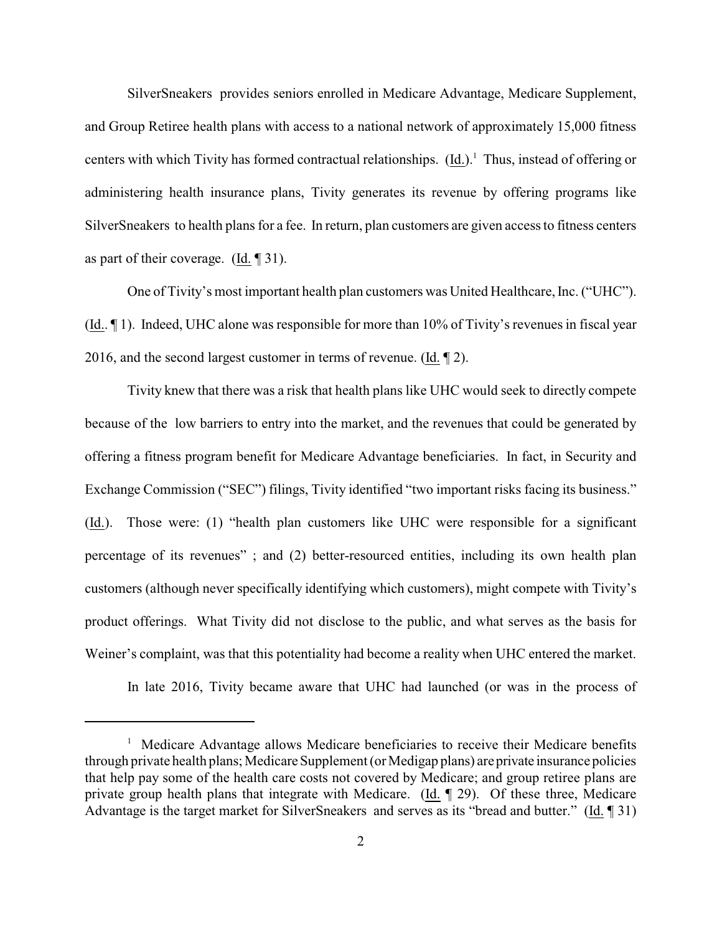SilverSneakers provides seniors enrolled in Medicare Advantage, Medicare Supplement, and Group Retiree health plans with access to a national network of approximately 15,000 fitness centers with which Tivity has formed contractual relationships.  $(Id.)$ <sup>1</sup> Thus, instead of offering or administering health insurance plans, Tivity generates its revenue by offering programs like SilverSneakers to health plans for a fee. In return, plan customers are given access to fitness centers as part of their coverage. (Id. ¶ 31).

One of Tivity's most important health plan customers was United Healthcare, Inc. ("UHC"). (Id.. ¶ 1). Indeed, UHC alone was responsible for more than 10% of Tivity's revenues in fiscal year 2016, and the second largest customer in terms of revenue. (Id. ¶ 2).

Tivity knew that there was a risk that health plans like UHC would seek to directly compete because of the low barriers to entry into the market, and the revenues that could be generated by offering a fitness program benefit for Medicare Advantage beneficiaries. In fact, in Security and Exchange Commission ("SEC") filings, Tivity identified "two important risks facing its business." (Id.). Those were: (1) "health plan customers like UHC were responsible for a significant percentage of its revenues" ; and (2) better-resourced entities, including its own health plan customers (although never specifically identifying which customers), might compete with Tivity's product offerings. What Tivity did not disclose to the public, and what serves as the basis for Weiner's complaint, was that this potentiality had become a reality when UHC entered the market.

In late 2016, Tivity became aware that UHC had launched (or was in the process of

<sup>&</sup>lt;sup>1</sup> Medicare Advantage allows Medicare beneficiaries to receive their Medicare benefits through private health plans; Medicare Supplement (or Medigap plans) areprivate insurance policies that help pay some of the health care costs not covered by Medicare; and group retiree plans are private group health plans that integrate with Medicare. (Id. ¶ 29). Of these three, Medicare Advantage is the target market for SilverSneakers and serves as its "bread and butter." (Id. ¶ 31)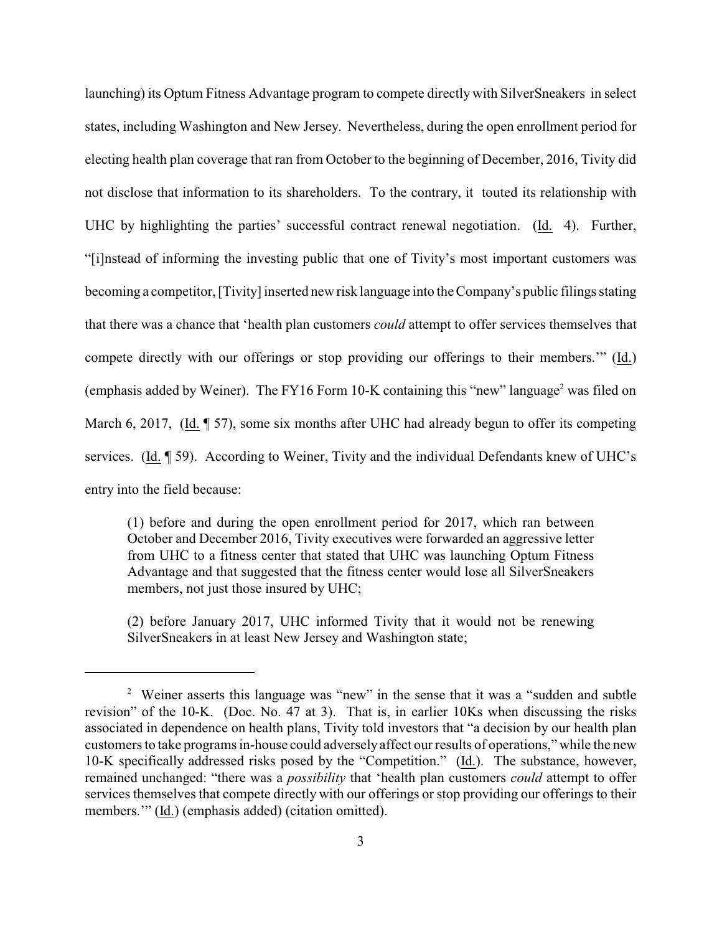launching) its Optum Fitness Advantage program to compete directly with SilverSneakers in select states, including Washington and New Jersey. Nevertheless, during the open enrollment period for electing health plan coverage that ran from October to the beginning of December, 2016, Tivity did not disclose that information to its shareholders. To the contrary, it touted its relationship with UHC by highlighting the parties' successful contract renewal negotiation. (Id. 4). Further, "[i]nstead of informing the investing public that one of Tivity's most important customers was becoming a competitor, [Tivity] inserted new risk language into the Company's public filings stating that there was a chance that 'health plan customers *could* attempt to offer services themselves that compete directly with our offerings or stop providing our offerings to their members.'" (Id.) (emphasis added by Weiner). The FY16 Form 10-K containing this "new" language<sup>2</sup> was filed on March 6, 2017, (Id. ¶ 57), some six months after UHC had already begun to offer its competing services. (Id. ¶ 59). According to Weiner, Tivity and the individual Defendants knew of UHC's entry into the field because:

(1) before and during the open enrollment period for 2017, which ran between October and December 2016, Tivity executives were forwarded an aggressive letter from UHC to a fitness center that stated that UHC was launching Optum Fitness Advantage and that suggested that the fitness center would lose all SilverSneakers members, not just those insured by UHC;

(2) before January 2017, UHC informed Tivity that it would not be renewing SilverSneakers in at least New Jersey and Washington state;

<sup>&</sup>lt;sup>2</sup> Weiner asserts this language was "new" in the sense that it was a "sudden and subtle revision" of the 10-K. (Doc. No. 47 at 3). That is, in earlier 10Ks when discussing the risks associated in dependence on health plans, Tivity told investors that "a decision by our health plan customers to take programs in-house could adverselyaffect our results of operations," while the new 10-K specifically addressed risks posed by the "Competition." (Id.). The substance, however, remained unchanged: "there was a *possibility* that 'health plan customers *could* attempt to offer services themselves that compete directly with our offerings or stop providing our offerings to their members."" (Id.) (emphasis added) (citation omitted).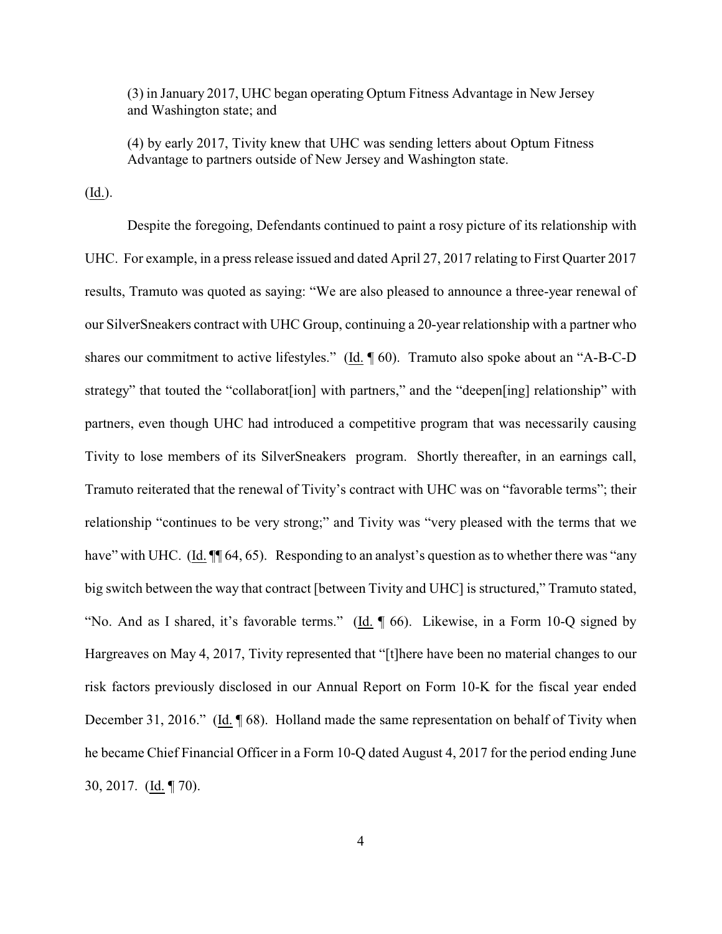(3) in January 2017, UHC began operating Optum Fitness Advantage in New Jersey and Washington state; and

(4) by early 2017, Tivity knew that UHC was sending letters about Optum Fitness Advantage to partners outside of New Jersey and Washington state.

(Id.).

Despite the foregoing, Defendants continued to paint a rosy picture of its relationship with UHC. For example, in a press release issued and dated April 27, 2017 relating to First Quarter 2017 results, Tramuto was quoted as saying: "We are also pleased to announce a three-year renewal of our SilverSneakers contract with UHC Group, continuing a 20-year relationship with a partner who shares our commitment to active lifestyles." (Id. ¶ 60). Tramuto also spoke about an "A-B-C-D strategy" that touted the "collaborat[ion] with partners," and the "deepen[ing] relationship" with partners, even though UHC had introduced a competitive program that was necessarily causing Tivity to lose members of its SilverSneakers program. Shortly thereafter, in an earnings call, Tramuto reiterated that the renewal of Tivity's contract with UHC was on "favorable terms"; their relationship "continues to be very strong;" and Tivity was "very pleased with the terms that we have" with UHC. (Id.  $\P$ [64, 65). Responding to an analyst's question as to whether there was "any big switch between the way that contract [between Tivity and UHC] is structured," Tramuto stated, "No. And as I shared, it's favorable terms." (Id. ¶ 66). Likewise, in a Form 10-Q signed by Hargreaves on May 4, 2017, Tivity represented that "[t]here have been no material changes to our risk factors previously disclosed in our Annual Report on Form 10-K for the fiscal year ended December 31, 2016." (Id. ¶ 68). Holland made the same representation on behalf of Tivity when he became Chief Financial Officer in a Form 10-Q dated August 4, 2017 for the period ending June 30, 2017. (Id. ¶ 70).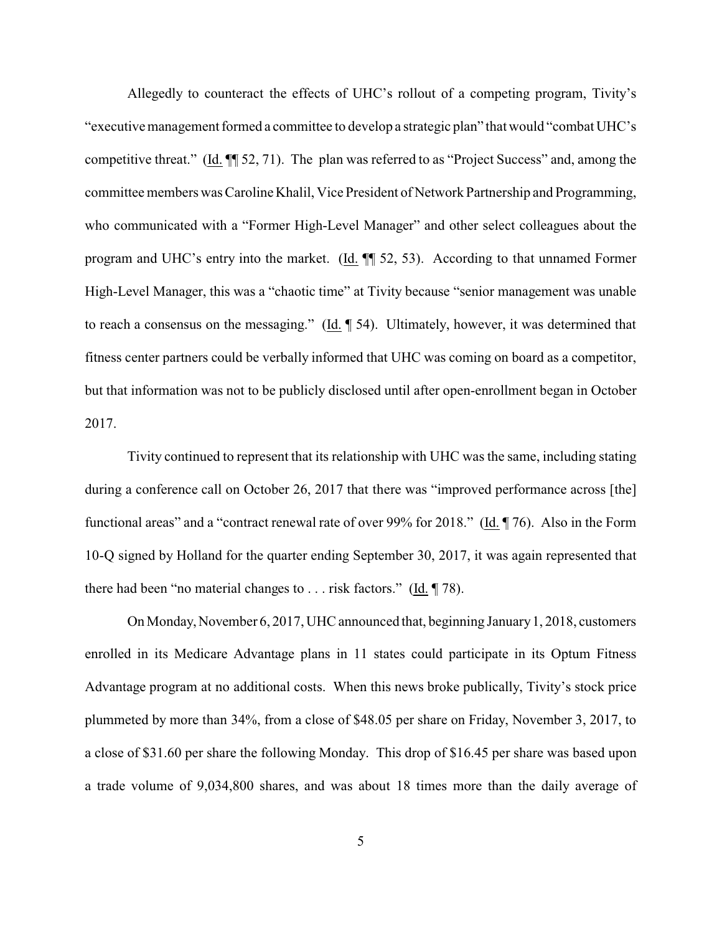Allegedly to counteract the effects of UHC's rollout of a competing program, Tivity's "executive management formed a committee to develop a strategic plan" that would "combat UHC's competitive threat." (Id. ¶¶ 52, 71). The plan was referred to as "Project Success" and, among the committee members was Caroline Khalil, Vice President of Network Partnership and Programming, who communicated with a "Former High-Level Manager" and other select colleagues about the program and UHC's entry into the market. (Id. ¶¶ 52, 53). According to that unnamed Former High-Level Manager, this was a "chaotic time" at Tivity because "senior management was unable to reach a consensus on the messaging." (Id. ¶ 54). Ultimately, however, it was determined that fitness center partners could be verbally informed that UHC was coming on board as a competitor, but that information was not to be publicly disclosed until after open-enrollment began in October 2017.

Tivity continued to represent that its relationship with UHC was the same, including stating during a conference call on October 26, 2017 that there was "improved performance across [the] functional areas" and a "contract renewal rate of over 99% for 2018." (Id. ¶ 76). Also in the Form 10-Q signed by Holland for the quarter ending September 30, 2017, it was again represented that there had been "no material changes to . . . risk factors." (Id. ¶ 78).

On Monday,November 6, 2017, UHC announced that, beginning January1, 2018, customers enrolled in its Medicare Advantage plans in 11 states could participate in its Optum Fitness Advantage program at no additional costs. When this news broke publically, Tivity's stock price plummeted by more than 34%, from a close of \$48.05 per share on Friday, November 3, 2017, to a close of \$31.60 per share the following Monday. This drop of \$16.45 per share was based upon a trade volume of 9,034,800 shares, and was about 18 times more than the daily average of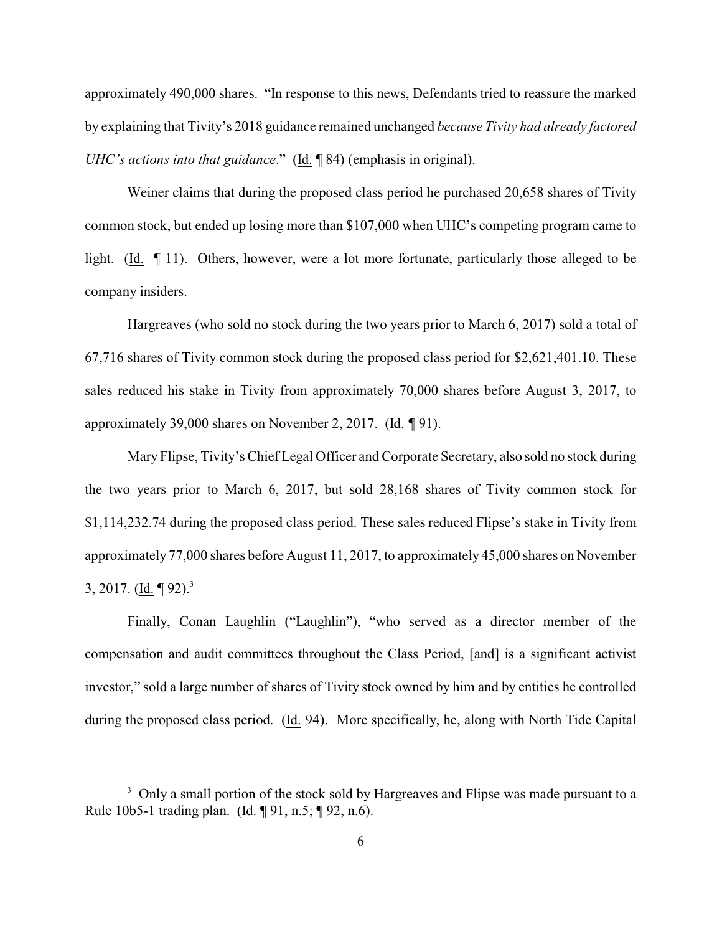approximately 490,000 shares. "In response to this news, Defendants tried to reassure the marked by explaining that Tivity's 2018 guidance remained unchanged *because Tivity had already factored UHC's actions into that guidance*." (Id. ¶ 84) (emphasis in original).

Weiner claims that during the proposed class period he purchased 20,658 shares of Tivity common stock, but ended up losing more than \$107,000 when UHC's competing program came to light. (Id. ¶ 11). Others, however, were a lot more fortunate, particularly those alleged to be company insiders.

Hargreaves (who sold no stock during the two years prior to March 6, 2017) sold a total of 67,716 shares of Tivity common stock during the proposed class period for \$2,621,401.10. These sales reduced his stake in Tivity from approximately 70,000 shares before August 3, 2017, to approximately 39,000 shares on November 2, 2017. (Id. *¶* 91).

Mary Flipse, Tivity's Chief Legal Officer and Corporate Secretary, also sold no stock during the two years prior to March 6, 2017, but sold 28,168 shares of Tivity common stock for \$1,114,232.74 during the proposed class period. These sales reduced Flipse's stake in Tivity from approximately 77,000 shares before August 11, 2017, to approximately 45,000 shares on November 3, 2017. (Id.  $\P$  92).<sup>3</sup>

Finally, Conan Laughlin ("Laughlin"), "who served as a director member of the compensation and audit committees throughout the Class Period, [and] is a significant activist investor," sold a large number of shares of Tivity stock owned by him and by entities he controlled during the proposed class period. (Id. 94). More specifically, he, along with North Tide Capital

<sup>&</sup>lt;sup>3</sup> Only a small portion of the stock sold by Hargreaves and Flipse was made pursuant to a Rule 10b5-1 trading plan. (Id. ¶ 91, n.5; ¶ 92, n.6).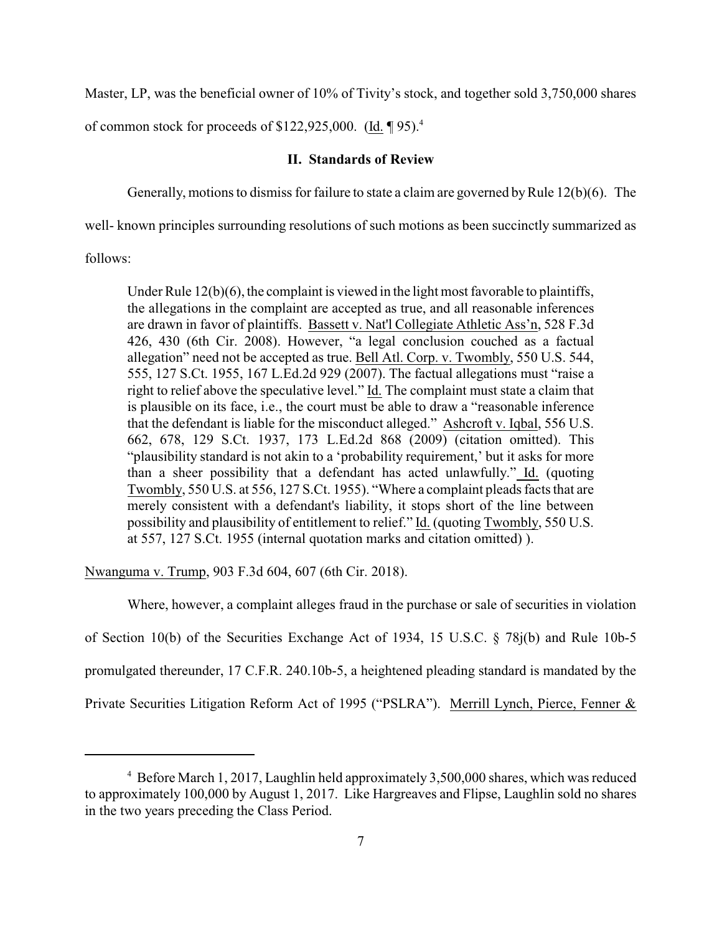Master, LP, was the beneficial owner of 10% of Tivity's stock, and together sold 3,750,000 shares

of common stock for proceeds of  $$122,925,000$ . (Id.  $\P$  95).<sup>4</sup>

### **II. Standards of Review**

Generally, motions to dismiss for failure to state a claim are governed by Rule  $12(b)(6)$ . The

well- known principles surrounding resolutions of such motions as been succinctly summarized as

follows:

Under Rule 12(b)(6), the complaint is viewed in the light most favorable to plaintiffs, the allegations in the complaint are accepted as true, and all reasonable inferences are drawn in favor of plaintiffs. Bassett v. Nat'l Collegiate Athletic Ass'n, 528 F.3d 426, 430 (6th Cir. 2008). However, "a legal conclusion couched as a factual allegation" need not be accepted as true. Bell Atl. Corp. v. Twombly, 550 U.S. 544, 555, 127 S.Ct. 1955, 167 L.Ed.2d 929 (2007). The factual allegations must "raise a right to relief above the speculative level." Id. The complaint must state a claim that is plausible on its face, i.e., the court must be able to draw a "reasonable inference that the defendant is liable for the misconduct alleged." Ashcroft v. Iqbal, 556 U.S. 662, 678, 129 S.Ct. 1937, 173 L.Ed.2d 868 (2009) (citation omitted). This "plausibility standard is not akin to a 'probability requirement,' but it asks for more than a sheer possibility that a defendant has acted unlawfully." Id. (quoting Twombly, 550 U.S. at 556, 127 S.Ct. 1955). "Where a complaint pleads facts that are merely consistent with a defendant's liability, it stops short of the line between possibility and plausibility of entitlement to relief." Id. (quoting Twombly, 550 U.S. at 557, 127 S.Ct. 1955 (internal quotation marks and citation omitted) ).

Nwanguma v. Trump, 903 F.3d 604, 607 (6th Cir. 2018).

Where, however, a complaint alleges fraud in the purchase or sale of securities in violation of Section 10(b) of the Securities Exchange Act of 1934, 15 U.S.C. § 78j(b) and Rule 10b-5 promulgated thereunder, 17 C.F.R. 240.10b-5, a heightened pleading standard is mandated by the Private Securities Litigation Reform Act of 1995 ("PSLRA"). Merrill Lynch, Pierce, Fenner &

<sup>4</sup> Before March 1, 2017, Laughlin held approximately 3,500,000 shares, which was reduced to approximately 100,000 by August 1, 2017. Like Hargreaves and Flipse, Laughlin sold no shares in the two years preceding the Class Period.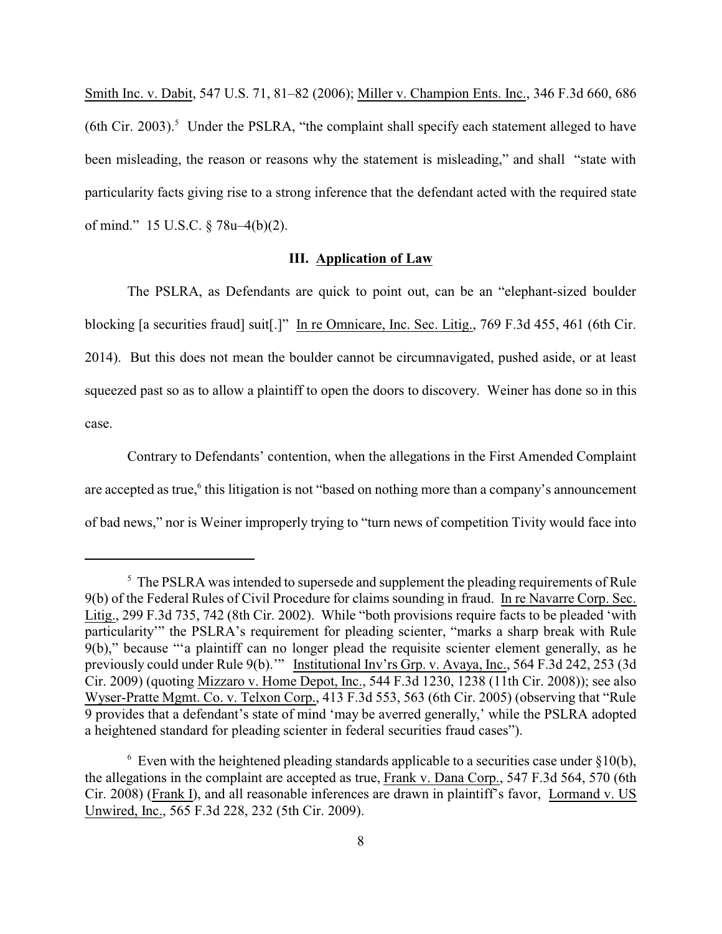Smith Inc. v. Dabit, 547 U.S. 71, 81–82 (2006); Miller v. Champion Ents. Inc., 346 F.3d 660, 686  $(6th Cir. 2003).$ <sup>5</sup> Under the PSLRA, "the complaint shall specify each statement alleged to have been misleading, the reason or reasons why the statement is misleading," and shall "state with particularity facts giving rise to a strong inference that the defendant acted with the required state of mind." 15 U.S.C. § 78u–4(b)(2).

# **III. Application of Law**

The PSLRA, as Defendants are quick to point out, can be an "elephant-sized boulder blocking [a securities fraud] suit[.]" In re Omnicare, Inc. Sec. Litig., 769 F.3d 455, 461 (6th Cir. 2014). But this does not mean the boulder cannot be circumnavigated, pushed aside, or at least squeezed past so as to allow a plaintiff to open the doors to discovery. Weiner has done so in this case.

Contrary to Defendants' contention, when the allegations in the First Amended Complaint are accepted as true,<sup>6</sup> this litigation is not "based on nothing more than a company's announcement of bad news," nor is Weiner improperly trying to "turn news of competition Tivity would face into

 $<sup>5</sup>$  The PSLRA was intended to supersede and supplement the pleading requirements of Rule</sup> 9(b) of the Federal Rules of Civil Procedure for claims sounding in fraud. In re Navarre Corp. Sec. Litig., 299 F.3d 735, 742 (8th Cir. 2002). While "both provisions require facts to be pleaded 'with particularity'" the PSLRA's requirement for pleading scienter, "marks a sharp break with Rule 9(b)," because "'a plaintiff can no longer plead the requisite scienter element generally, as he previously could under Rule 9(b).'" Institutional Inv'rs Grp. v. Avaya, Inc., 564 F.3d 242, 253 (3d Cir. 2009) (quoting Mizzaro v. Home Depot, Inc., 544 F.3d 1230, 1238 (11th Cir. 2008)); see also Wyser-Pratte Mgmt. Co. v. Telxon Corp., 413 F.3d 553, 563 (6th Cir. 2005) (observing that "Rule 9 provides that a defendant's state of mind 'may be averred generally,' while the PSLRA adopted a heightened standard for pleading scienter in federal securities fraud cases").

 $6$  Even with the heightened pleading standards applicable to a securities case under  $\S 10(b)$ , the allegations in the complaint are accepted as true, Frank v. Dana Corp., 547 F.3d 564, 570 (6th Cir. 2008) (Frank I), and all reasonable inferences are drawn in plaintiff's favor, Lormand v. US Unwired, Inc., 565 F.3d 228, 232 (5th Cir. 2009).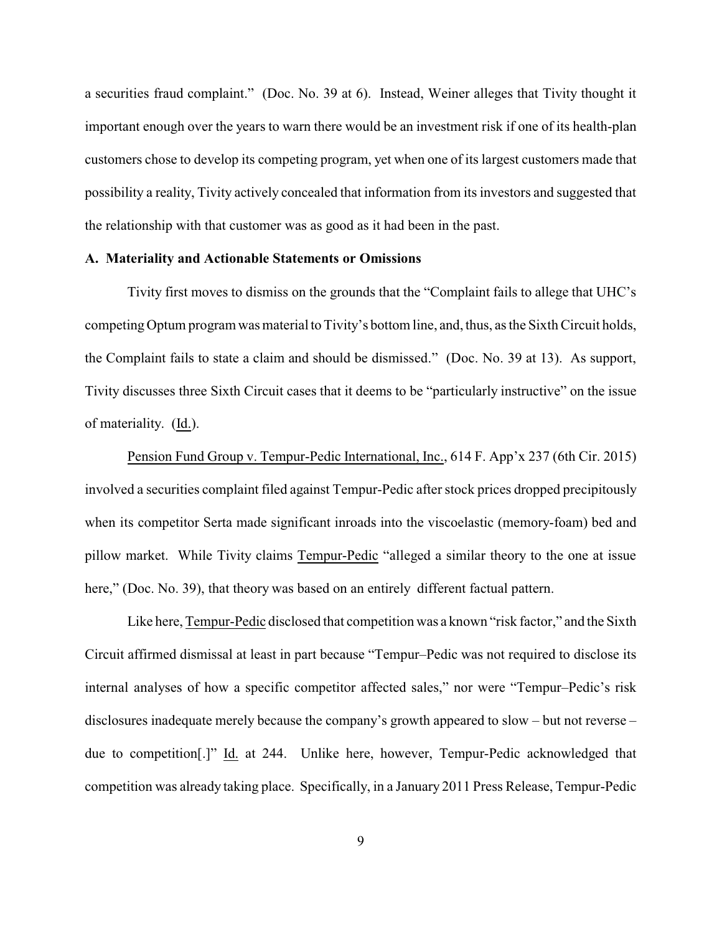a securities fraud complaint." (Doc. No. 39 at 6). Instead, Weiner alleges that Tivity thought it important enough over the years to warn there would be an investment risk if one of its health-plan customers chose to develop its competing program, yet when one of its largest customers made that possibility a reality, Tivity actively concealed that information from its investors and suggested that the relationship with that customer was as good as it had been in the past.

### **A. Materiality and Actionable Statements or Omissions**

Tivity first moves to dismiss on the grounds that the "Complaint fails to allege that UHC's competing Optum program was material to Tivity's bottom line, and, thus, as the Sixth Circuit holds, the Complaint fails to state a claim and should be dismissed." (Doc. No. 39 at 13). As support, Tivity discusses three Sixth Circuit cases that it deems to be "particularly instructive" on the issue of materiality. (Id.).

Pension Fund Group v. Tempur-Pedic International, Inc., 614 F. App'x 237 (6th Cir. 2015) involved a securities complaint filed against Tempur-Pedic after stock prices dropped precipitously when its competitor Serta made significant inroads into the viscoelastic (memory-foam) bed and pillow market. While Tivity claims Tempur-Pedic "alleged a similar theory to the one at issue here," (Doc. No. 39), that theory was based on an entirely different factual pattern.

Like here, Tempur-Pedic disclosed that competition was a known "risk factor," and the Sixth Circuit affirmed dismissal at least in part because "Tempur–Pedic was not required to disclose its internal analyses of how a specific competitor affected sales," nor were "Tempur–Pedic's risk disclosures inadequate merely because the company's growth appeared to slow – but not reverse – due to competition[.]" Id. at 244. Unlike here, however, Tempur-Pedic acknowledged that competition was already taking place. Specifically, in a January 2011 Press Release, Tempur-Pedic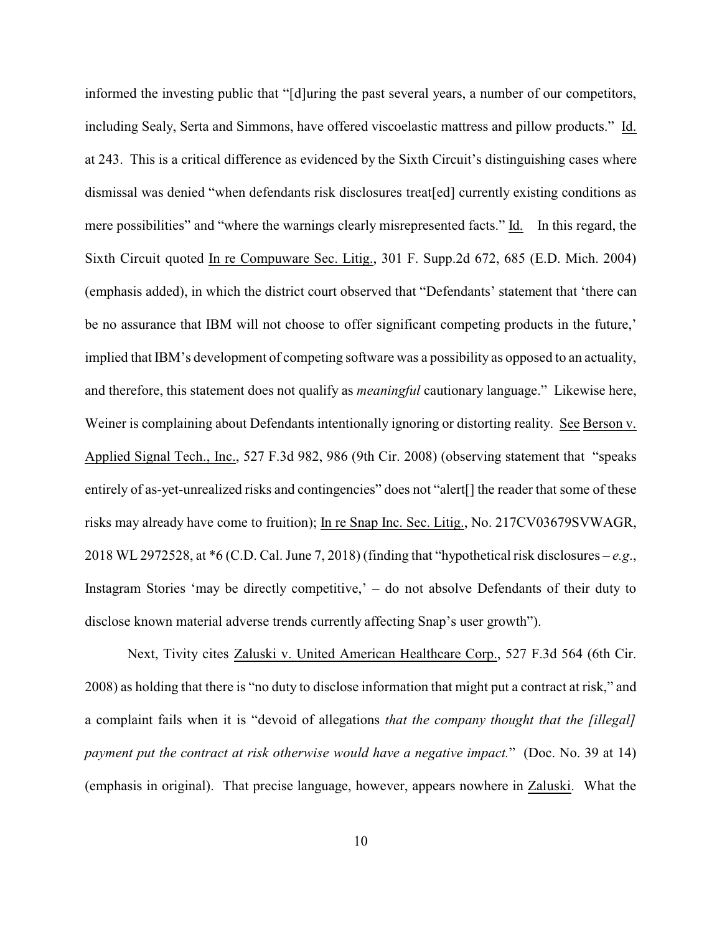informed the investing public that "[d]uring the past several years, a number of our competitors, including Sealy, Serta and Simmons, have offered viscoelastic mattress and pillow products." Id. at 243. This is a critical difference as evidenced by the Sixth Circuit's distinguishing cases where dismissal was denied "when defendants risk disclosures treat[ed] currently existing conditions as mere possibilities" and "where the warnings clearly misrepresented facts." Id. In this regard, the Sixth Circuit quoted In re Compuware Sec. Litig., 301 F. Supp.2d 672, 685 (E.D. Mich. 2004) (emphasis added), in which the district court observed that "Defendants' statement that 'there can be no assurance that IBM will not choose to offer significant competing products in the future,' implied that IBM's development of competing software was a possibility as opposed to an actuality, and therefore, this statement does not qualify as *meaningful* cautionary language." Likewise here, Weiner is complaining about Defendants intentionally ignoring or distorting reality. See Berson v. Applied Signal Tech., Inc., 527 F.3d 982, 986 (9th Cir. 2008) (observing statement that "speaks entirely of as-yet-unrealized risks and contingencies" does not "alert[] the reader that some of these risks may already have come to fruition); In re Snap Inc. Sec. Litig., No. 217CV03679SVWAGR, 2018 WL 2972528, at \*6 (C.D. Cal. June 7, 2018) (finding that "hypothetical risk disclosures – *e.g*., Instagram Stories 'may be directly competitive,' – do not absolve Defendants of their duty to disclose known material adverse trends currently affecting Snap's user growth").

Next, Tivity cites Zaluski v. United American Healthcare Corp., 527 F.3d 564 (6th Cir. 2008) as holding that there is "no duty to disclose information that might put a contract at risk," and a complaint fails when it is "devoid of allegations *that the company thought that the [illegal] payment put the contract at risk otherwise would have a negative impact.*" (Doc. No. 39 at 14) (emphasis in original). That precise language, however, appears nowhere in Zaluski. What the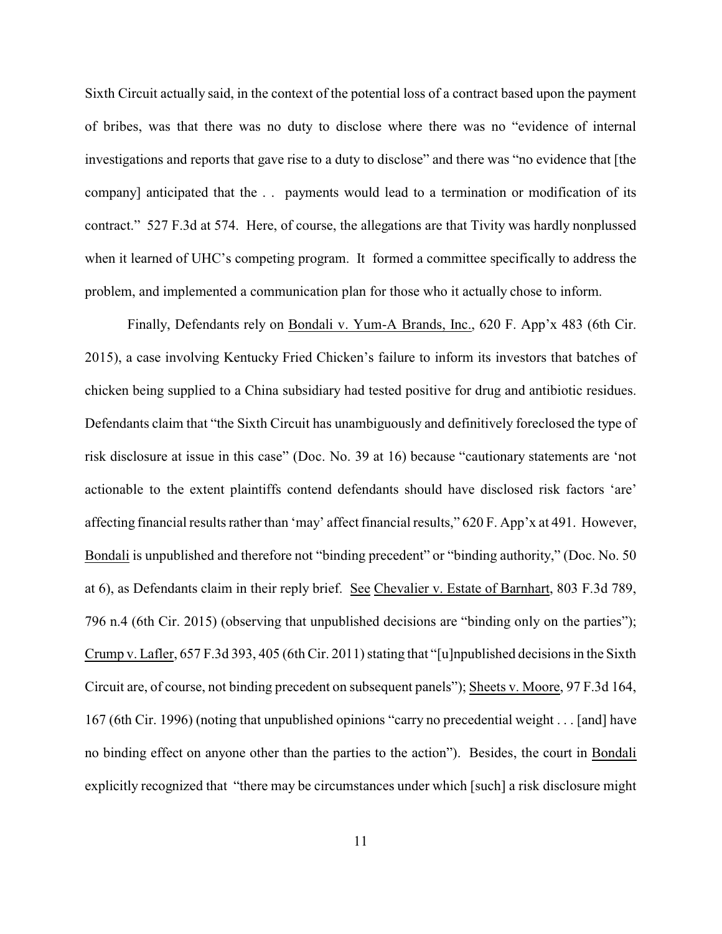Sixth Circuit actually said, in the context of the potential loss of a contract based upon the payment of bribes, was that there was no duty to disclose where there was no "evidence of internal investigations and reports that gave rise to a duty to disclose" and there was "no evidence that [the company] anticipated that the . . payments would lead to a termination or modification of its contract." 527 F.3d at 574. Here, of course, the allegations are that Tivity was hardly nonplussed when it learned of UHC's competing program. It formed a committee specifically to address the problem, and implemented a communication plan for those who it actually chose to inform.

Finally, Defendants rely on Bondali v. Yum-A Brands, Inc., 620 F. App'x 483 (6th Cir. 2015), a case involving Kentucky Fried Chicken's failure to inform its investors that batches of chicken being supplied to a China subsidiary had tested positive for drug and antibiotic residues. Defendants claim that "the Sixth Circuit has unambiguously and definitively foreclosed the type of risk disclosure at issue in this case" (Doc. No. 39 at 16) because "cautionary statements are 'not actionable to the extent plaintiffs contend defendants should have disclosed risk factors 'are' affecting financial results rather than 'may' affect financial results," 620 F. App'x at 491. However, Bondali is unpublished and therefore not "binding precedent" or "binding authority," (Doc. No. 50 at 6), as Defendants claim in their reply brief. See Chevalier v. Estate of Barnhart, 803 F.3d 789, 796 n.4 (6th Cir. 2015) (observing that unpublished decisions are "binding only on the parties"); Crump v. Lafler, 657 F.3d 393, 405 (6th Cir. 2011) stating that "[u]npublished decisions in the Sixth Circuit are, of course, not binding precedent on subsequent panels"); Sheets v. Moore, 97 F.3d 164, 167 (6th Cir. 1996) (noting that unpublished opinions "carry no precedential weight . . . [and] have no binding effect on anyone other than the parties to the action"). Besides, the court in Bondali explicitly recognized that "there may be circumstances under which [such] a risk disclosure might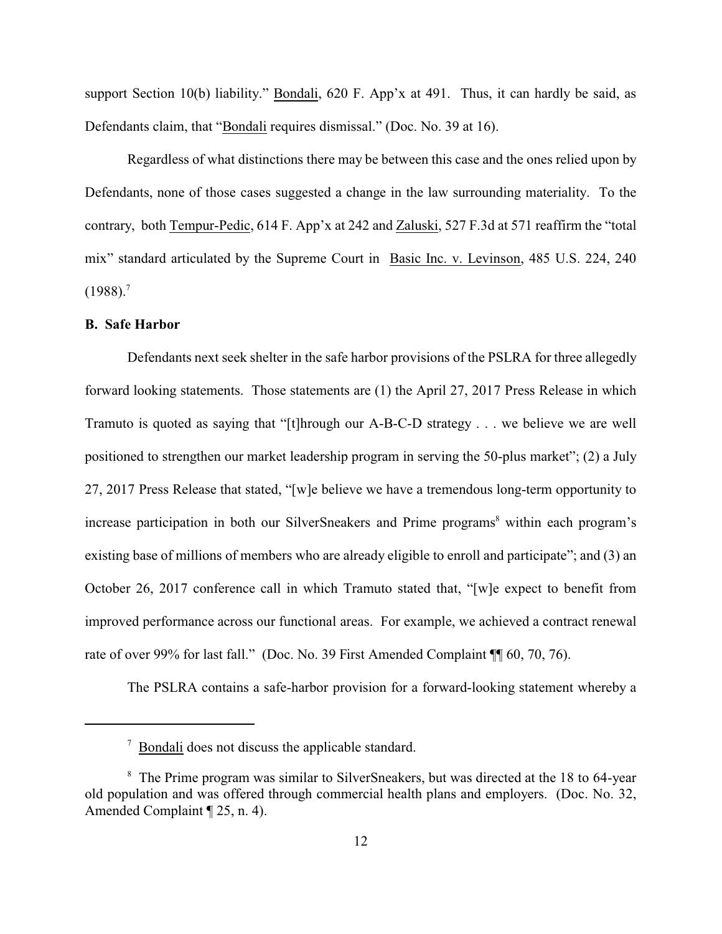support Section 10(b) liability." Bondali, 620 F. App'x at 491. Thus, it can hardly be said, as Defendants claim, that "Bondali requires dismissal." (Doc. No. 39 at 16).

Regardless of what distinctions there may be between this case and the ones relied upon by Defendants, none of those cases suggested a change in the law surrounding materiality. To the contrary, both Tempur-Pedic, 614 F. App'x at 242 and Zaluski, 527 F.3d at 571 reaffirm the "total mix" standard articulated by the Supreme Court in Basic Inc. v. Levinson, 485 U.S. 224, 240  $(1988).<sup>7</sup>$ 

#### **B. Safe Harbor**

Defendants next seek shelter in the safe harbor provisions of the PSLRA for three allegedly forward looking statements. Those statements are (1) the April 27, 2017 Press Release in which Tramuto is quoted as saying that "[t]hrough our A-B-C-D strategy . . . we believe we are well positioned to strengthen our market leadership program in serving the 50-plus market"; (2) a July 27, 2017 Press Release that stated, "[w]e believe we have a tremendous long-term opportunity to increase participation in both our SilverSneakers and Prime programs<sup>8</sup> within each program's existing base of millions of members who are already eligible to enroll and participate"; and (3) an October 26, 2017 conference call in which Tramuto stated that, "[w]e expect to benefit from improved performance across our functional areas. For example, we achieved a contract renewal rate of over 99% for last fall." (Doc. No. 39 First Amended Complaint ¶ 60, 70, 76).

The PSLRA contains a safe-harbor provision for a forward-looking statement whereby a

<sup>&</sup>lt;sup>7</sup> Bondali does not discuss the applicable standard.

<sup>&</sup>lt;sup>8</sup> The Prime program was similar to SilverSneakers, but was directed at the 18 to 64-year old population and was offered through commercial health plans and employers. (Doc. No. 32, Amended Complaint ¶ 25, n. 4).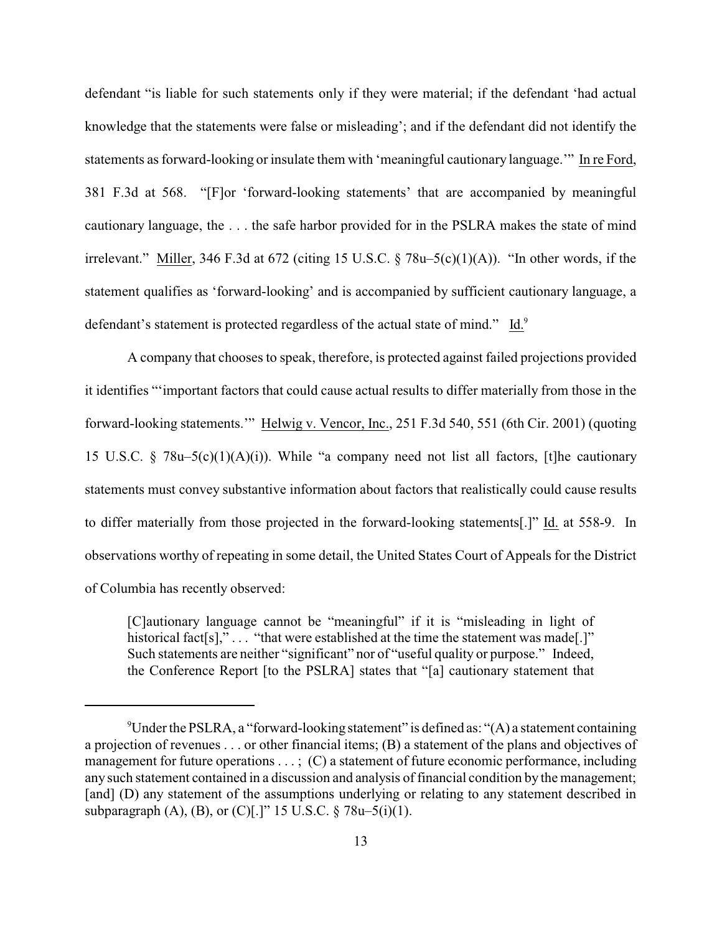defendant "is liable for such statements only if they were material; if the defendant 'had actual knowledge that the statements were false or misleading'; and if the defendant did not identify the statements as forward-looking or insulate them with 'meaningful cautionary language.'" In re Ford, 381 F.3d at 568. "[F]or 'forward-looking statements' that are accompanied by meaningful cautionary language, the . . . the safe harbor provided for in the PSLRA makes the state of mind irrelevant." Miller, 346 F.3d at 672 (citing 15 U.S.C.  $\S$  78u–5(c)(1)(A)). "In other words, if the statement qualifies as 'forward-looking' and is accompanied by sufficient cautionary language, a defendant's statement is protected regardless of the actual state of mind."  $\underline{Id}$ .

A company that chooses to speak, therefore, is protected against failed projections provided it identifies "'important factors that could cause actual results to differ materially from those in the forward-looking statements.'" Helwig v. Vencor, Inc., 251 F.3d 540, 551 (6th Cir. 2001) (quoting 15 U.S.C. § 78u–5(c)(1)(A)(i)). While "a company need not list all factors, [t]he cautionary statements must convey substantive information about factors that realistically could cause results to differ materially from those projected in the forward-looking statements[.]" Id. at 558-9. In observations worthy of repeating in some detail, the United States Court of Appeals for the District of Columbia has recently observed:

[C]autionary language cannot be "meaningful" if it is "misleading in light of historical fact[s],"... "that were established at the time the statement was made[.]" Such statements are neither "significant" nor of "useful quality or purpose." Indeed, the Conference Report [to the PSLRA] states that "[a] cautionary statement that

<sup>&</sup>lt;sup>9</sup>Under the PSLRA, a "forward-looking statement" is defined as: " $(A)$  a statement containing a projection of revenues . . . or other financial items; (B) a statement of the plans and objectives of management for future operations . . . ; (C) a statement of future economic performance, including any such statement contained in a discussion and analysis of financial condition by the management; [and] (D) any statement of the assumptions underlying or relating to any statement described in subparagraph (A), (B), or  $(C)[.]$ " 15 U.S.C. § 78u–5(i)(1).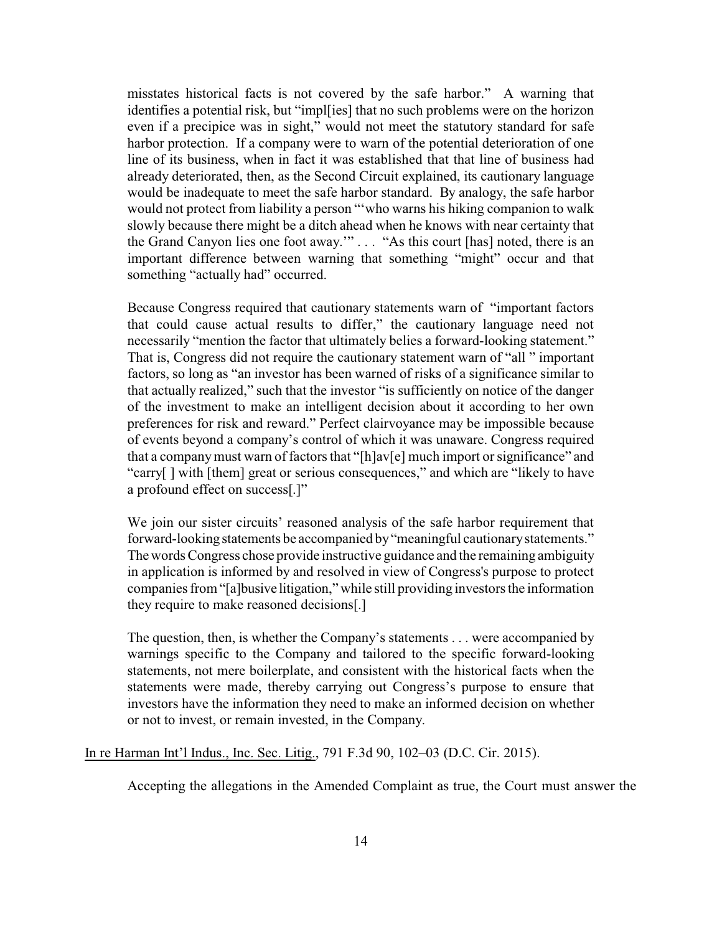misstates historical facts is not covered by the safe harbor." A warning that identifies a potential risk, but "impl[ies] that no such problems were on the horizon even if a precipice was in sight," would not meet the statutory standard for safe harbor protection. If a company were to warn of the potential deterioration of one line of its business, when in fact it was established that that line of business had already deteriorated, then, as the Second Circuit explained, its cautionary language would be inadequate to meet the safe harbor standard. By analogy, the safe harbor would not protect from liability a person "'who warns his hiking companion to walk slowly because there might be a ditch ahead when he knows with near certainty that the Grand Canyon lies one foot away.'" . . . "As this court [has] noted, there is an important difference between warning that something "might" occur and that something "actually had" occurred.

Because Congress required that cautionary statements warn of "important factors that could cause actual results to differ," the cautionary language need not necessarily "mention the factor that ultimately belies a forward-looking statement." That is, Congress did not require the cautionary statement warn of "all " important factors, so long as "an investor has been warned of risks of a significance similar to that actually realized," such that the investor "is sufficiently on notice of the danger of the investment to make an intelligent decision about it according to her own preferences for risk and reward." Perfect clairvoyance may be impossible because of events beyond a company's control of which it was unaware. Congress required that a companymust warn of factors that "[h]av[e] much import or significance" and "carry[ ] with [them] great or serious consequences," and which are "likely to have a profound effect on success[.]"

We join our sister circuits' reasoned analysis of the safe harbor requirement that forward-looking statements be accompanied by"meaningful cautionarystatements." The words Congress chose provide instructive guidance and the remaining ambiguity in application is informed by and resolved in view of Congress's purpose to protect companies from "[a]busive litigation," while still providing investors the information they require to make reasoned decisions[.]

The question, then, is whether the Company's statements . . . were accompanied by warnings specific to the Company and tailored to the specific forward-looking statements, not mere boilerplate, and consistent with the historical facts when the statements were made, thereby carrying out Congress's purpose to ensure that investors have the information they need to make an informed decision on whether or not to invest, or remain invested, in the Company.

In re Harman Int'l Indus., Inc. Sec. Litig., 791 F.3d 90, 102–03 (D.C. Cir. 2015).

Accepting the allegations in the Amended Complaint as true, the Court must answer the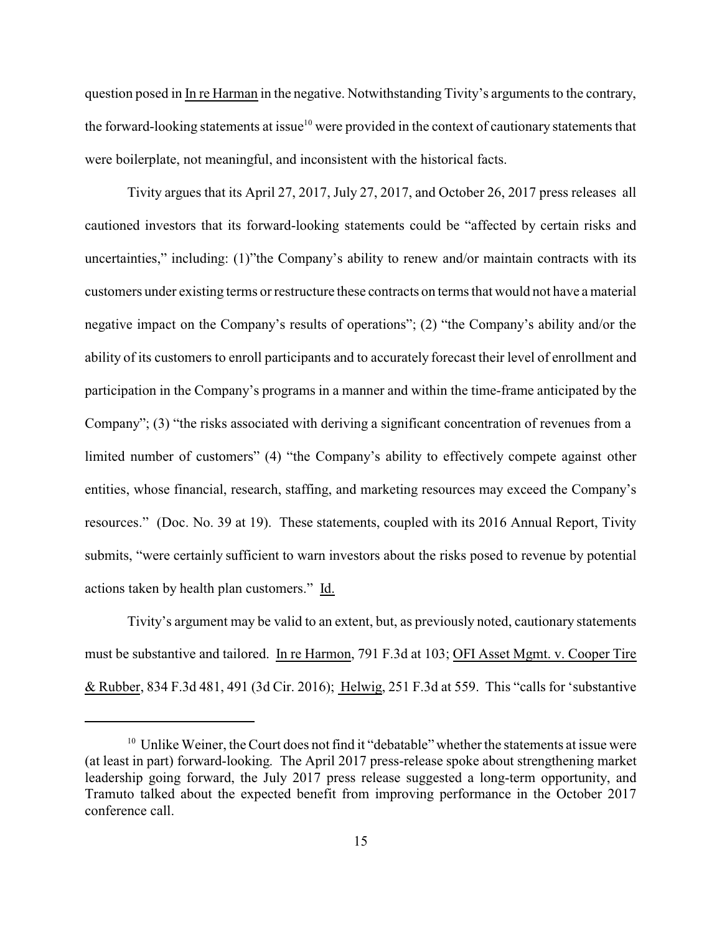question posed in In re Harman in the negative. Notwithstanding Tivity's arguments to the contrary, the forward-looking statements at issue<sup>10</sup> were provided in the context of cautionary statements that were boilerplate, not meaningful, and inconsistent with the historical facts.

Tivity argues that its April 27, 2017, July 27, 2017, and October 26, 2017 press releases all cautioned investors that its forward-looking statements could be "affected by certain risks and uncertainties," including: (1)"the Company's ability to renew and/or maintain contracts with its customers under existing terms or restructure these contracts on terms that would not have a material negative impact on the Company's results of operations"; (2) "the Company's ability and/or the ability of its customers to enroll participants and to accurately forecast their level of enrollment and participation in the Company's programs in a manner and within the time-frame anticipated by the Company"; (3) "the risks associated with deriving a significant concentration of revenues from a limited number of customers" (4) "the Company's ability to effectively compete against other entities, whose financial, research, staffing, and marketing resources may exceed the Company's resources." (Doc. No. 39 at 19). These statements, coupled with its 2016 Annual Report, Tivity submits, "were certainly sufficient to warn investors about the risks posed to revenue by potential actions taken by health plan customers." Id.

Tivity's argument may be valid to an extent, but, as previously noted, cautionary statements must be substantive and tailored. In re Harmon, 791 F.3d at 103; OFI Asset Mgmt. v. Cooper Tire & Rubber, 834 F.3d 481, 491 (3d Cir. 2016); Helwig, 251 F.3d at 559. This "calls for 'substantive

<sup>&</sup>lt;sup>10</sup> Unlike Weiner, the Court does not find it "debatable" whether the statements at issue were (at least in part) forward-looking. The April 2017 press-release spoke about strengthening market leadership going forward, the July 2017 press release suggested a long-term opportunity, and Tramuto talked about the expected benefit from improving performance in the October 2017 conference call.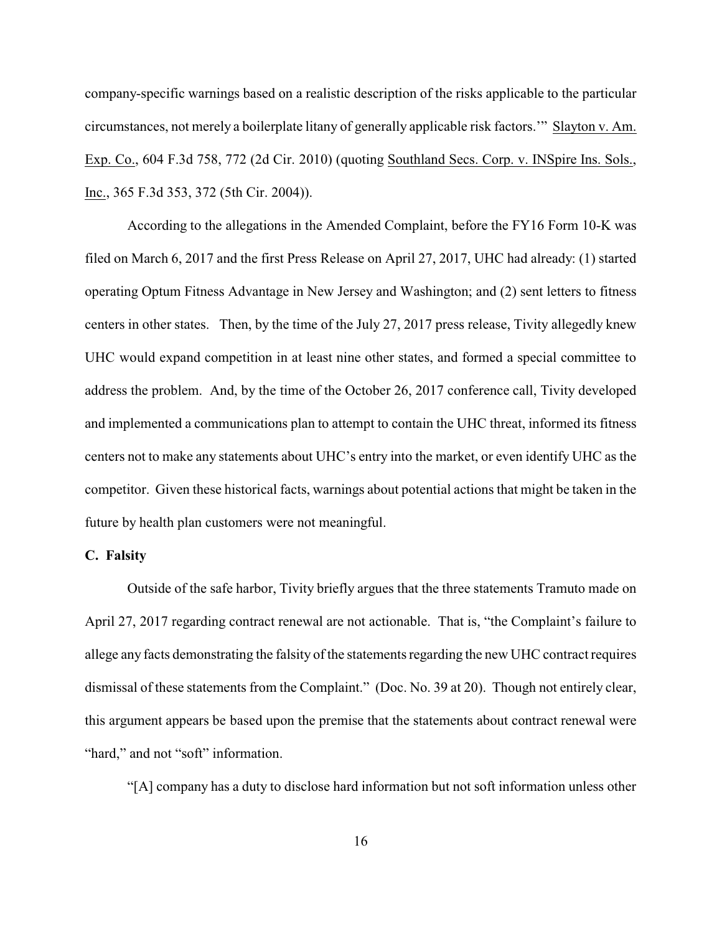company-specific warnings based on a realistic description of the risks applicable to the particular circumstances, not merely a boilerplate litany of generally applicable risk factors.'" Slayton v. Am. Exp. Co., 604 F.3d 758, 772 (2d Cir. 2010) (quoting Southland Secs. Corp. v. INSpire Ins. Sols., Inc., 365 F.3d 353, 372 (5th Cir. 2004)).

According to the allegations in the Amended Complaint, before the FY16 Form 10-K was filed on March 6, 2017 and the first Press Release on April 27, 2017, UHC had already: (1) started operating Optum Fitness Advantage in New Jersey and Washington; and (2) sent letters to fitness centers in other states. Then, by the time of the July 27, 2017 press release, Tivity allegedly knew UHC would expand competition in at least nine other states, and formed a special committee to address the problem. And, by the time of the October 26, 2017 conference call, Tivity developed and implemented a communications plan to attempt to contain the UHC threat, informed its fitness centers not to make any statements about UHC's entry into the market, or even identify UHC as the competitor. Given these historical facts, warnings about potential actions that might be taken in the future by health plan customers were not meaningful.

## **C. Falsity**

Outside of the safe harbor, Tivity briefly argues that the three statements Tramuto made on April 27, 2017 regarding contract renewal are not actionable. That is, "the Complaint's failure to allege any facts demonstrating the falsity of the statements regarding the new UHC contract requires dismissal of these statements from the Complaint." (Doc. No. 39 at 20). Though not entirely clear, this argument appears be based upon the premise that the statements about contract renewal were "hard," and not "soft" information.

"[A] company has a duty to disclose hard information but not soft information unless other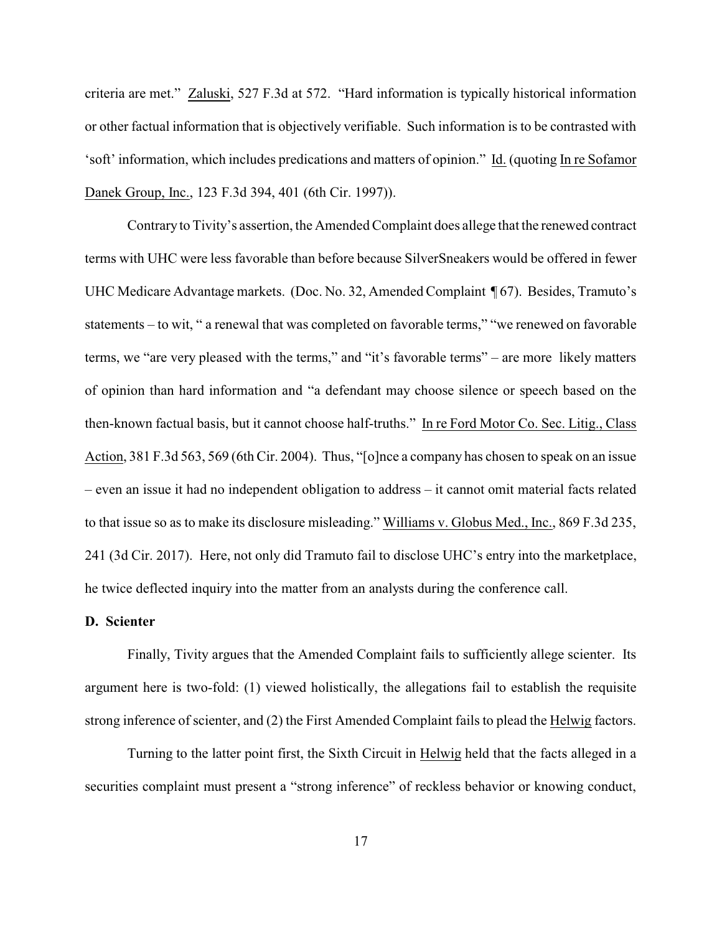criteria are met." Zaluski, 527 F.3d at 572. "Hard information is typically historical information or other factual information that is objectively verifiable. Such information is to be contrasted with 'soft' information, which includes predications and matters of opinion." Id. (quoting In re Sofamor Danek Group, Inc., 123 F.3d 394, 401 (6th Cir. 1997)).

Contraryto Tivity's assertion, the Amended Complaint does allege that the renewed contract terms with UHC were less favorable than before because SilverSneakers would be offered in fewer UHC Medicare Advantage markets. (Doc. No. 32, Amended Complaint ¶ 67). Besides, Tramuto's statements – to wit, " a renewal that was completed on favorable terms," "we renewed on favorable terms, we "are very pleased with the terms," and "it's favorable terms" – are more likely matters of opinion than hard information and "a defendant may choose silence or speech based on the then-known factual basis, but it cannot choose half-truths." In re Ford Motor Co. Sec. Litig., Class Action, 381 F.3d 563, 569 (6th Cir. 2004). Thus, "[o]nce a company has chosen to speak on an issue – even an issue it had no independent obligation to address – it cannot omit material facts related to that issue so as to make its disclosure misleading." Williams v. Globus Med., Inc., 869 F.3d 235, 241 (3d Cir. 2017). Here, not only did Tramuto fail to disclose UHC's entry into the marketplace, he twice deflected inquiry into the matter from an analysts during the conference call.

#### **D. Scienter**

Finally, Tivity argues that the Amended Complaint fails to sufficiently allege scienter. Its argument here is two-fold: (1) viewed holistically, the allegations fail to establish the requisite strong inference of scienter, and (2) the First Amended Complaint fails to plead the Helwig factors.

Turning to the latter point first, the Sixth Circuit in Helwig held that the facts alleged in a securities complaint must present a "strong inference" of reckless behavior or knowing conduct,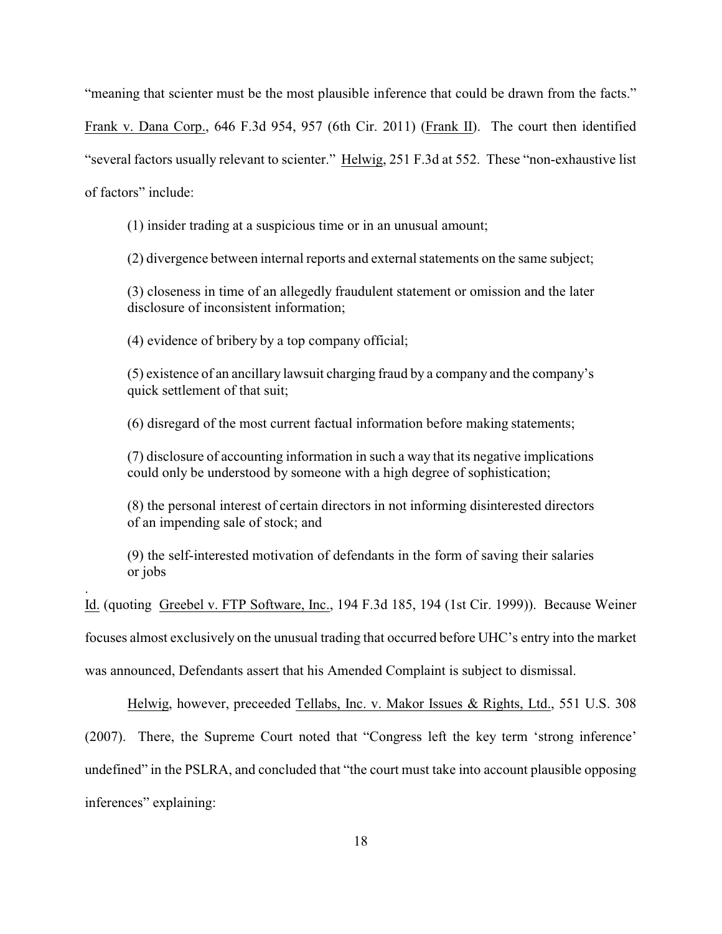"meaning that scienter must be the most plausible inference that could be drawn from the facts." Frank v. Dana Corp., 646 F.3d 954, 957 (6th Cir. 2011) (Frank II). The court then identified "several factors usually relevant to scienter." Helwig, 251 F.3d at 552. These "non-exhaustive list of factors" include:

(1) insider trading at a suspicious time or in an unusual amount;

(2) divergence between internal reports and external statements on the same subject;

(3) closeness in time of an allegedly fraudulent statement or omission and the later disclosure of inconsistent information;

(4) evidence of bribery by a top company official;

.

(5) existence of an ancillary lawsuit charging fraud by a company and the company's quick settlement of that suit;

(6) disregard of the most current factual information before making statements;

(7) disclosure of accounting information in such a way that its negative implications could only be understood by someone with a high degree of sophistication;

(8) the personal interest of certain directors in not informing disinterested directors of an impending sale of stock; and

(9) the self-interested motivation of defendants in the form of saving their salaries or jobs

Id. (quoting Greebel v. FTP Software, Inc., 194 F.3d 185, 194 (1st Cir. 1999)). Because Weiner focuses almost exclusively on the unusual trading that occurred before UHC's entry into the market was announced, Defendants assert that his Amended Complaint is subject to dismissal.

Helwig, however, preceeded Tellabs, Inc. v. Makor Issues & Rights, Ltd., 551 U.S. 308 (2007). There, the Supreme Court noted that "Congress left the key term 'strong inference' undefined" in the PSLRA, and concluded that "the court must take into account plausible opposing inferences" explaining: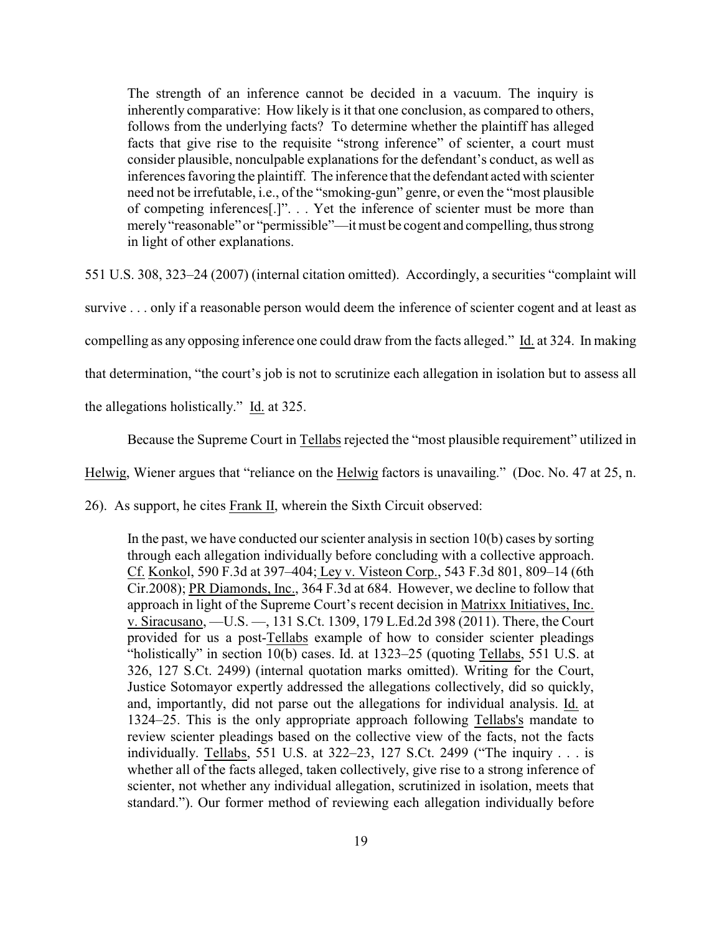The strength of an inference cannot be decided in a vacuum. The inquiry is inherently comparative: How likely is it that one conclusion, as compared to others, follows from the underlying facts? To determine whether the plaintiff has alleged facts that give rise to the requisite "strong inference" of scienter, a court must consider plausible, nonculpable explanations for the defendant's conduct, as well as inferences favoring the plaintiff. The inference that the defendant acted with scienter need not be irrefutable, i.e., of the "smoking-gun" genre, or even the "most plausible of competing inferences[.]". . . Yet the inference of scienter must be more than merely "reasonable" or "permissible"—it must be cogent and compelling, thus strong in light of other explanations.

551 U.S. 308, 323–24 (2007) (internal citation omitted). Accordingly, a securities "complaint will

survive . . . only if a reasonable person would deem the inference of scienter cogent and at least as compelling as any opposing inference one could draw from the facts alleged." Id. at 324. In making that determination, "the court's job is not to scrutinize each allegation in isolation but to assess all the allegations holistically." Id. at 325.

Because the Supreme Court in Tellabs rejected the "most plausible requirement" utilized in

Helwig, Wiener argues that "reliance on the Helwig factors is unavailing." (Doc. No. 47 at 25, n.

26). As support, he cites Frank II, wherein the Sixth Circuit observed:

In the past, we have conducted our scienter analysis in section  $10(b)$  cases by sorting through each allegation individually before concluding with a collective approach. Cf. Konkol, 590 F.3d at 397–404; Ley v. Visteon Corp., 543 F.3d 801, 809–14 (6th Cir.2008); PR Diamonds, Inc., 364 F.3d at 684. However, we decline to follow that approach in light of the Supreme Court's recent decision in Matrixx Initiatives, Inc. v. Siracusano, ––U.S. ––, 131 S.Ct. 1309, 179 L.Ed.2d 398 (2011). There, the Court provided for us a post-Tellabs example of how to consider scienter pleadings "holistically" in section 10(b) cases. Id. at 1323–25 (quoting Tellabs, 551 U.S. at 326, 127 S.Ct. 2499) (internal quotation marks omitted). Writing for the Court, Justice Sotomayor expertly addressed the allegations collectively, did so quickly, and, importantly, did not parse out the allegations for individual analysis. Id. at 1324–25. This is the only appropriate approach following Tellabs's mandate to review scienter pleadings based on the collective view of the facts, not the facts individually. Tellabs, 551 U.S. at  $322-23$ , 127 S.Ct. 2499 ("The inquiry . . . is whether all of the facts alleged, taken collectively, give rise to a strong inference of scienter, not whether any individual allegation, scrutinized in isolation, meets that standard."). Our former method of reviewing each allegation individually before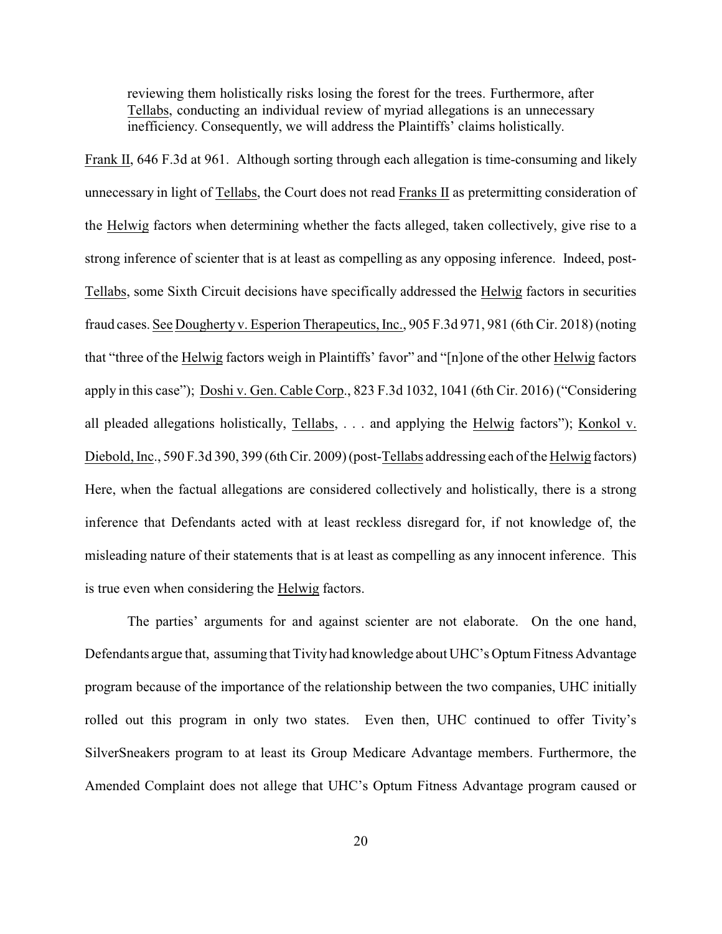reviewing them holistically risks losing the forest for the trees. Furthermore, after Tellabs, conducting an individual review of myriad allegations is an unnecessary inefficiency. Consequently, we will address the Plaintiffs' claims holistically.

Frank II, 646 F.3d at 961. Although sorting through each allegation is time-consuming and likely unnecessary in light of Tellabs, the Court does not read Franks II as pretermitting consideration of the Helwig factors when determining whether the facts alleged, taken collectively, give rise to a strong inference of scienter that is at least as compelling as any opposing inference. Indeed, post-Tellabs, some Sixth Circuit decisions have specifically addressed the Helwig factors in securities fraud cases. See Dougherty v. Esperion Therapeutics, Inc., 905 F.3d 971, 981 (6th Cir. 2018) (noting that "three of the Helwig factors weigh in Plaintiffs' favor" and "[n]one of the other Helwig factors apply in this case"); Doshi v. Gen. Cable Corp., 823 F.3d 1032, 1041 (6th Cir. 2016) ("Considering all pleaded allegations holistically, Tellabs, . . . and applying the Helwig factors"); Konkol v. Diebold, Inc., 590 F.3d 390, 399 (6th Cir. 2009) (post-Tellabs addressing each of the Helwig factors) Here, when the factual allegations are considered collectively and holistically, there is a strong inference that Defendants acted with at least reckless disregard for, if not knowledge of, the misleading nature of their statements that is at least as compelling as any innocent inference. This is true even when considering the Helwig factors.

The parties' arguments for and against scienter are not elaborate. On the one hand, Defendants argue that, assuming that Tivityhad knowledge about UHC's Optum Fitness Advantage program because of the importance of the relationship between the two companies, UHC initially rolled out this program in only two states. Even then, UHC continued to offer Tivity's SilverSneakers program to at least its Group Medicare Advantage members. Furthermore, the Amended Complaint does not allege that UHC's Optum Fitness Advantage program caused or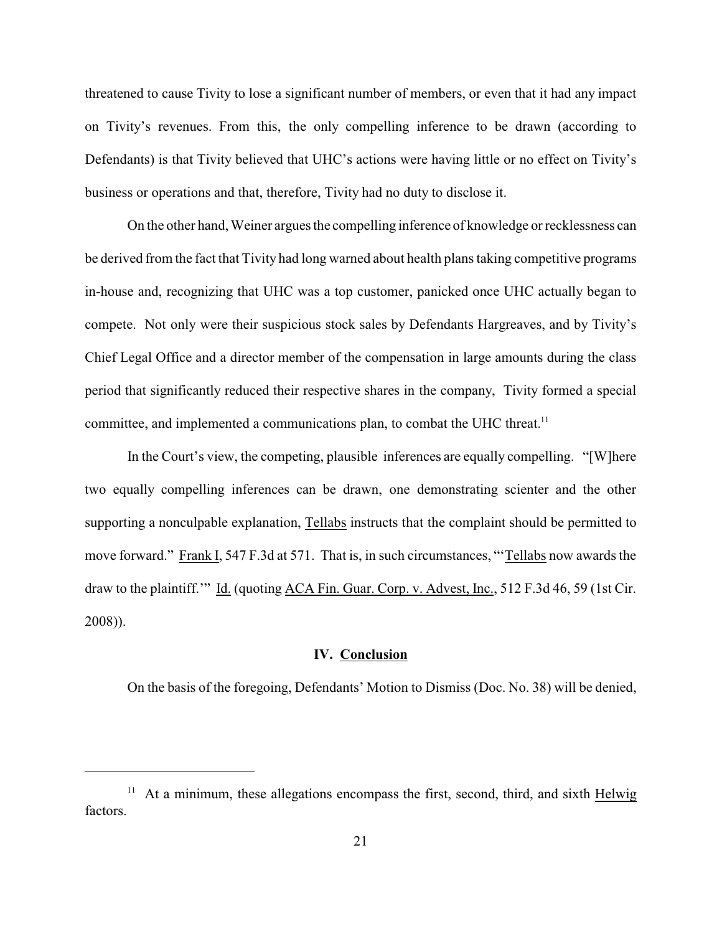threatened to cause Tivity to lose a significant number of members, or even that it had any impact on Tivity's revenues. From this, the only compelling inference to be drawn (according to Defendants) is that Tivity believed that UHC's actions were having little or no effect on Tivity's business or operations and that, therefore, Tivity had no duty to disclose it.

On the other hand, Weiner argues the compelling inference of knowledge or recklessness can be derived from the fact that Tivity had long warned about health plans taking competitive programs in-house and, recognizing that UHC was a top customer, panicked once UHC actually began to compete. Not only were their suspicious stock sales by Defendants Hargreaves, and by Tivity's Chief Legal Office and a director member of the compensation in large amounts during the class period that significantly reduced their respective shares in the company, Tivity formed a special committee, and implemented a communications plan, to combat the UHC threat.<sup>11</sup>

In the Court's view, the competing, plausible inferences are equally compelling. "[W]here two equally compelling inferences can be drawn, one demonstrating scienter and the other supporting a nonculpable explanation, Tellabs instructs that the complaint should be permitted to move forward." Frank I, 547 F.3d at 571. That is, in such circumstances, "'Tellabs now awards the draw to the plaintiff.'" Id. (quoting ACA Fin. Guar. Corp. v. Advest, Inc., 512 F.3d 46, 59 (1st Cir. 2008)).

#### **IV. Conclusion**

On the basis of the foregoing, Defendants' Motion to Dismiss (Doc. No. 38) will be denied,

 $11$  At a minimum, these allegations encompass the first, second, third, and sixth Helwig factors.